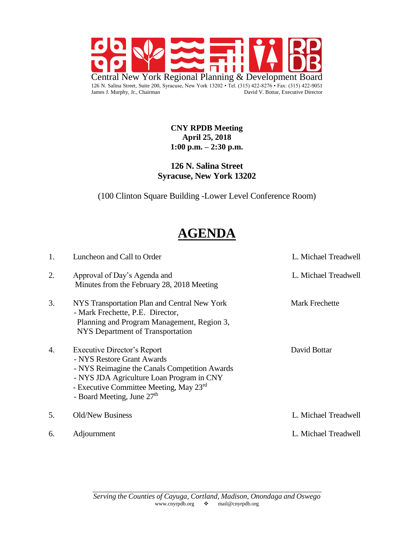

**CNY RPDB Meeting April 25, 2018 1:00 p.m. – 2:30 p.m.**

# **126 N. Salina Street Syracuse, New York 13202**

(100 Clinton Square Building -Lower Level Conference Room)

# **AGENDA**

| 1. | Luncheon and Call to Order                                                                                                                                                                                                                   | L. Michael Treadwell  |
|----|----------------------------------------------------------------------------------------------------------------------------------------------------------------------------------------------------------------------------------------------|-----------------------|
| 2. | Approval of Day's Agenda and<br>Minutes from the February 28, 2018 Meeting                                                                                                                                                                   | L. Michael Treadwell  |
| 3. | NYS Transportation Plan and Central New York<br>- Mark Frechette, P.E. Director,<br>Planning and Program Management, Region 3,<br>NYS Department of Transportation                                                                           | <b>Mark Frechette</b> |
| 4. | Executive Director's Report<br>- NYS Restore Grant Awards<br>- NYS Reimagine the Canals Competition Awards<br>- NYS JDA Agriculture Loan Program in CNY<br>- Executive Committee Meeting, May 23rd<br>- Board Meeting, June 27 <sup>th</sup> | David Bottar          |
| 5. | Old/New Business                                                                                                                                                                                                                             | L. Michael Treadwell  |
| 6. | Adjournment                                                                                                                                                                                                                                  | L. Michael Treadwell  |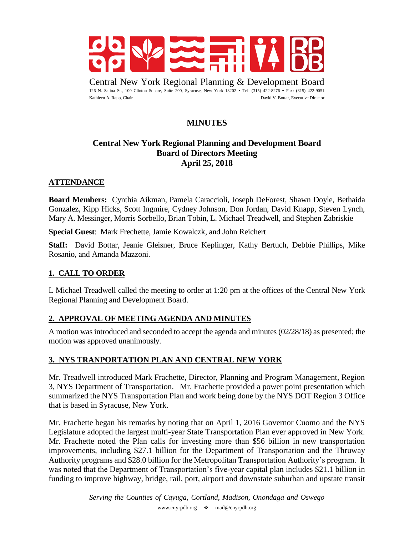

Central New York Regional Planning & Development Board 126 N. Salina St., 100 Clinton Square, Suite 200, Syracuse, New York 13202 • Tel. (315) 422-8276 • Fax: (315) 422-9051 Kathleen A. Rapp, Chair David V. Bottar, Executive Director

# **MINUTES**

# **Central New York Regional Planning and Development Board Board of Directors Meeting April 25, 2018**

# **ATTENDANCE**

**Board Members:** Cynthia Aikman, Pamela Caraccioli, Joseph DeForest, Shawn Doyle, Bethaida Gonzalez, Kipp Hicks, Scott Ingmire, Cydney Johnson, Don Jordan, David Knapp, Steven Lynch, Mary A. Messinger, Morris Sorbello, Brian Tobin, L. Michael Treadwell, and Stephen Zabriskie

**Special Guest**: Mark Frechette, Jamie Kowalczk, and John Reichert

**Staff:** David Bottar, Jeanie Gleisner, Bruce Keplinger, Kathy Bertuch, Debbie Phillips, Mike Rosanio, and Amanda Mazzoni.

# **1. CALL TO ORDER**

L Michael Treadwell called the meeting to order at 1:20 pm at the offices of the Central New York Regional Planning and Development Board.

#### **2. APPROVAL OF MEETING AGENDA AND MINUTES**

A motion was introduced and seconded to accept the agenda and minutes (02/28/18) as presented; the motion was approved unanimously.

# **3. NYS TRANPORTATION PLAN AND CENTRAL NEW YORK**

Mr. Treadwell introduced Mark Frachette, Director, Planning and Program Management, Region 3, NYS Department of Transportation. Mr. Frachette provided a power point presentation which summarized the NYS Transportation Plan and work being done by the NYS DOT Region 3 Office that is based in Syracuse, New York.

Mr. Frachette began his remarks by noting that on April 1, 2016 Governor Cuomo and the NYS Legislature adopted the largest multi-year State Transportation Plan ever approved in New York. Mr. Frachette noted the Plan calls for investing more than \$56 billion in new transportation improvements, including \$27.1 billion for the Department of Transportation and the Thruway Authority programs and \$28.0 billion for the Metropolitan Transportation Authority's program. It was noted that the Department of Transportation's five-year capital plan includes \$21.1 billion in funding to improve highway, bridge, rail, port, airport and downstate suburban and upstate transit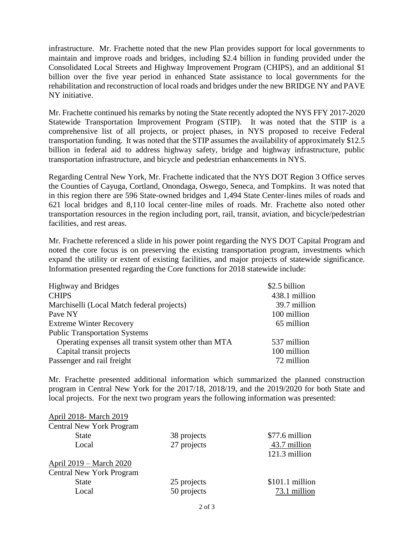infrastructure. Mr. Frachette noted that the new Plan provides support for local governments to maintain and improve roads and bridges, including \$2.4 billion in funding provided under the Consolidated Local Streets and Highway Improvement Program (CHIPS), and an additional \$1 billion over the five year period in enhanced State assistance to local governments for the rehabilitation and reconstruction of local roads and bridges under the new BRIDGE NY and PAVE NY initiative.

Mr. Frachette continued his remarks by noting the State recently adopted the NYS FFY 2017-2020 Statewide Transportation Improvement Program (STIP). It was noted that the STIP is a comprehensive list of all projects, or project phases, in NYS proposed to receive Federal transportation funding. It was noted that the STIP assumes the availability of approximately \$12.5 billion in federal aid to address highway safety, bridge and highway infrastructure, public transportation infrastructure, and bicycle and pedestrian enhancements in NYS.

Regarding Central New York, Mr. Frachette indicated that the NYS DOT Region 3 Office serves the Counties of Cayuga, Cortland, Onondaga, Oswego, Seneca, and Tompkins. It was noted that in this region there are 596 State-owned bridges and 1,494 State Center-lines miles of roads and 621 local bridges and 8,110 local center-line miles of roads. Mr. Frachette also noted other transportation resources in the region including port, rail, transit, aviation, and bicycle/pedestrian facilities, and rest areas.

Mr. Frachette referenced a slide in his power point regarding the NYS DOT Capital Program and noted the core focus is on preserving the existing transportation program, investments which expand the utility or extent of existing facilities, and major projects of statewide significance. Information presented regarding the Core functions for 2018 statewide include:

| <b>Highway and Bridges</b><br><b>CHIPS</b>           | \$2.5 billion<br>438.1 million |
|------------------------------------------------------|--------------------------------|
| Marchiselli (Local Match federal projects)           | 39.7 million                   |
| Pave NY                                              |                                |
|                                                      | 100 million                    |
| <b>Extreme Winter Recovery</b>                       | 65 million                     |
| <b>Public Transportation Systems</b>                 |                                |
| Operating expenses all transit system other than MTA | 537 million                    |
| Capital transit projects                             | 100 million                    |
| Passenger and rail freight                           | 72 million                     |

Mr. Frachette presented additional information which summarized the planned construction program in Central New York for the 2017/18, 2018/19, and the 2019/2020 for both State and local projects. For the next two program years the following information was presented:

| April 2018- March 2019          |             |                 |
|---------------------------------|-------------|-----------------|
| <b>Central New York Program</b> |             |                 |
| <b>State</b>                    | 38 projects | \$77.6 million  |
| Local                           | 27 projects | 43.7 million    |
|                                 |             | 121.3 million   |
| <u> April 2019 – March 2020</u> |             |                 |
| <b>Central New York Program</b> |             |                 |
| <b>State</b>                    | 25 projects | \$101.1 million |
| Local                           | 50 projects | 73.1 million    |
|                                 |             |                 |